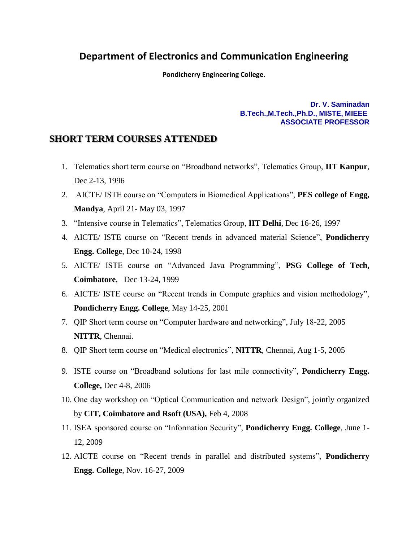## **Department of Electronics and Communication Engineering**

**Pondicherry Engineering College.**

**Dr. V. Saminadan B.Tech.,M.Tech.,Ph.D., MISTE, MIEEE ASSOCIATE PROFESSOR**

## **SHORT TERM COURSES ATTENDED**

- 1. Telematics short term course on "Broadband networks", Telematics Group, **IIT Kanpur**, Dec 2-13, 1996
- 2. AICTE/ ISTE course on "Computers in Biomedical Applications", **PES college of Engg, Mandya**, April 21- May 03, 1997
- 3. "Intensive course in Telematics", Telematics Group, **IIT Delhi**, Dec 16-26, 1997
- 4. AICTE/ ISTE course on "Recent trends in advanced material Science", **Pondicherry Engg. College**, Dec 10-24, 1998
- 5. AICTE/ ISTE course on "Advanced Java Programming", **PSG College of Tech, Coimbatore**, Dec 13-24, 1999
- 6. AICTE/ ISTE course on "Recent trends in Compute graphics and vision methodology", **Pondicherry Engg. College**, May 14-25, 2001
- 7. QIP Short term course on "Computer hardware and networking", July 18-22, 2005 **NITTR**, Chennai.
- 8. QIP Short term course on "Medical electronics", **NITTR**, Chennai, Aug 1-5, 2005
- 9. ISTE course on "Broadband solutions for last mile connectivity", **Pondicherry Engg. College,** Dec 4-8, 2006
- 10. One day workshop on "Optical Communication and network Design", jointly organized by **CIT, Coimbatore and Rsoft (USA),** Feb 4, 2008
- 11. ISEA sponsored course on "Information Security", **Pondicherry Engg. College**, June 1- 12, 2009
- 12. AICTE course on "Recent trends in parallel and distributed systems", **Pondicherry Engg. College**, Nov. 16-27, 2009